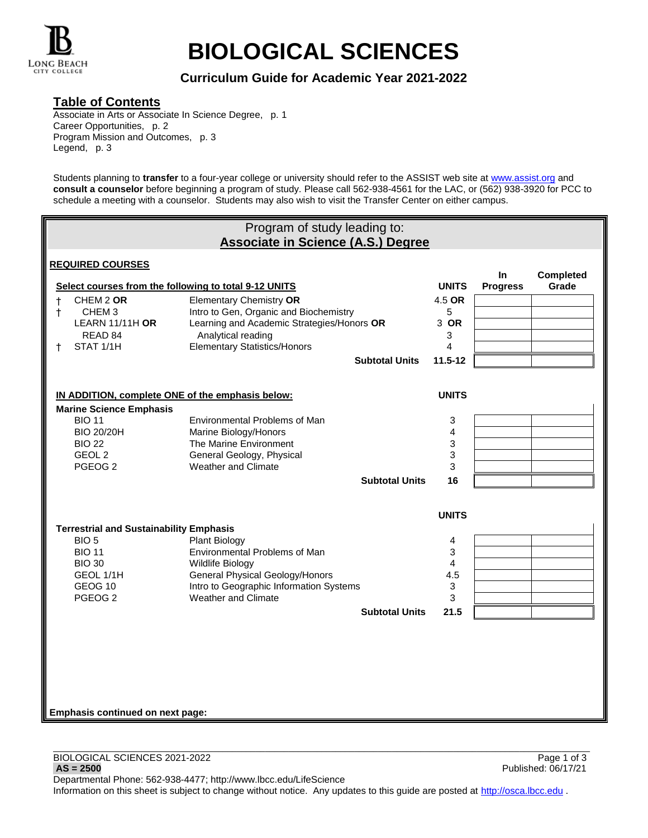

# **BIOLOGICAL SCIENCES**

**Curriculum Guide for Academic Year 2021-2022**

### **Table of Contents**

Associate in Arts or Associate In Science Degree, p. 1 Career Opportunities, p. 2 Program Mission and Outcomes, p. 3 Legend, p. 3

Students planning to **transfer** to a four-year college or university should refer to the ASSIST web site at [www.assist.org](http://www.assist.org/) and **consult a counselor** before beginning a program of study. Please call 562-938-4561 for the LAC, or (562) 938-3920 for PCC to schedule a meeting with a counselor. Students may also wish to visit the Transfer Center on either campus.

| Program of study leading to:<br><b>Associate in Science (A.S.) Degree</b>          |                                                                                      |              |                        |                           |
|------------------------------------------------------------------------------------|--------------------------------------------------------------------------------------|--------------|------------------------|---------------------------|
| <b>REQUIRED COURSES</b>                                                            |                                                                                      |              |                        |                           |
| Select courses from the following to total 9-12 UNITS                              |                                                                                      | <b>UNITS</b> | In.<br><b>Progress</b> | <b>Completed</b><br>Grade |
| CHEM 2 OR<br>$\ddagger$                                                            | <b>Elementary Chemistry OR</b>                                                       | 4.5 OR       |                        |                           |
| CHEM <sub>3</sub><br>$^{\dagger}$<br><b>LEARN 11/11H OR</b>                        | Intro to Gen, Organic and Biochemistry<br>Learning and Academic Strategies/Honors OR | 5<br>3 OR    |                        |                           |
| READ 84<br>STAT 1/1H<br>ŧ                                                          | Analytical reading<br><b>Elementary Statistics/Honors</b>                            | 3<br>4       |                        |                           |
|                                                                                    | <b>Subtotal Units</b>                                                                | $11.5 - 12$  |                        |                           |
|                                                                                    |                                                                                      |              |                        |                           |
| IN ADDITION, complete ONE of the emphasis below:<br><b>Marine Science Emphasis</b> |                                                                                      | <b>UNITS</b> |                        |                           |
| <b>BIO 11</b>                                                                      | Environmental Problems of Man                                                        | 3            |                        |                           |
| <b>BIO 20/20H</b><br><b>BIO 22</b>                                                 | Marine Biology/Honors<br>The Marine Environment                                      | 4<br>3       |                        |                           |
| GEOL <sub>2</sub><br>PGEOG <sub>2</sub>                                            | General Geology, Physical<br>Weather and Climate                                     | 3<br>3       |                        |                           |
|                                                                                    | <b>Subtotal Units</b>                                                                | 16           |                        |                           |
|                                                                                    |                                                                                      |              |                        |                           |
|                                                                                    |                                                                                      | <b>UNITS</b> |                        |                           |
| <b>Terrestrial and Sustainability Emphasis</b><br>BIO <sub>5</sub>                 | Plant Biology                                                                        | 4            |                        |                           |
| <b>BIO 11</b>                                                                      | Environmental Problems of Man                                                        | 3            |                        |                           |
| <b>BIO 30</b><br>GEOL 1/1H                                                         | Wildlife Biology<br>General Physical Geology/Honors                                  | 4<br>4.5     |                        |                           |
| GEOG 10                                                                            | Intro to Geographic Information Systems                                              | $\mathsf 3$  |                        |                           |
| PGEOG <sub>2</sub>                                                                 | Weather and Climate<br><b>Subtotal Units</b>                                         | 3<br>21.5    |                        |                           |
|                                                                                    |                                                                                      |              |                        |                           |
|                                                                                    |                                                                                      |              |                        |                           |
|                                                                                    |                                                                                      |              |                        |                           |
|                                                                                    |                                                                                      |              |                        |                           |
| Emphasis continued on next page:                                                   |                                                                                      |              |                        |                           |
|                                                                                    |                                                                                      |              |                        |                           |

Information on this sheet is subject to change without notice. Any updates to this guide are posted at [http://osca.lbcc.edu](http://osca.lbcc.edu/) .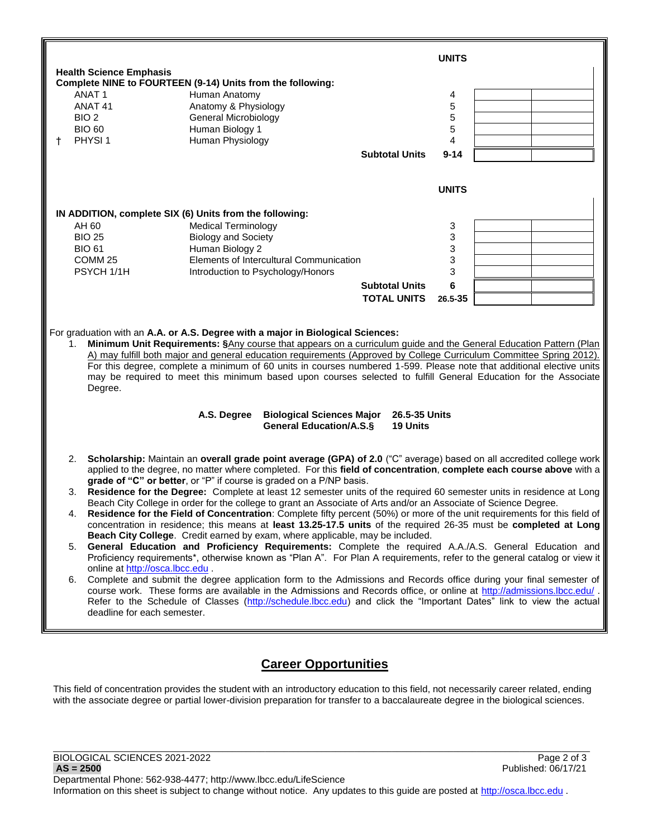

# **Career Opportunities**

This field of concentration provides the student with an introductory education to this field, not necessarily career related, ending with the associate degree or partial lower-division preparation for transfer to a baccalaureate degree in the biological sciences.

\_\_\_\_\_\_\_\_\_\_\_\_\_\_\_\_\_\_\_\_\_\_\_\_\_\_\_\_\_\_\_\_\_\_\_\_\_\_\_\_\_\_\_\_\_\_\_\_\_\_\_\_\_\_\_\_\_\_\_\_\_\_\_\_\_\_\_\_\_\_\_\_\_\_\_\_\_\_\_\_\_\_\_\_\_\_\_\_\_\_\_\_\_\_\_\_\_\_\_\_\_\_\_\_\_\_\_\_\_\_\_\_\_\_